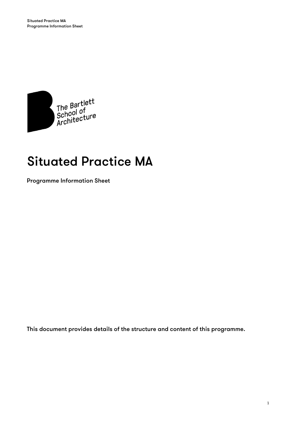

# Situated Practice MA

Programme Information Sheet

This document provides details of the structure and content of this programme.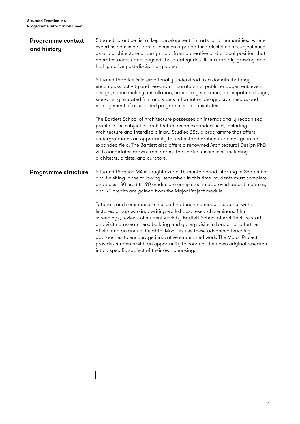| <b>Programme context</b><br>and history | Situated practice is a key development in arts and humanities, where<br>expertise comes not from a focus on a pre-defined discipline or subject such<br>as art, architecture or design, but from a creative and critical position that<br>operates across and beyond these categories. It is a rapidly growing and<br>highly active post-disciplinary domain.                                                                                                                                                                                                                                   |  |  |
|-----------------------------------------|-------------------------------------------------------------------------------------------------------------------------------------------------------------------------------------------------------------------------------------------------------------------------------------------------------------------------------------------------------------------------------------------------------------------------------------------------------------------------------------------------------------------------------------------------------------------------------------------------|--|--|
|                                         | Situated Practice is internationally understood as a domain that may<br>encompass activity and research in curatorship, public engagement, event<br>design, space making, installation, critical regeneration, participation design,<br>site-writing, situated film and video, information design, civic media, and<br>management of associated programmes and institutes.                                                                                                                                                                                                                      |  |  |
|                                         | The Bartlett School of Architecture possesses an internationally recognised<br>profile in the subject of architecture as an expanded field, including<br>Architecture and Interdisciplinary Studies BSc, a programme that offers<br>undergraduates an opportunity to understand architectural design in an<br>expanded field. The Bartlett also offers a renowned Architectural Design PhD,<br>with candidates drawn from across the spatial disciplines, including<br>architects, artists, and curators.                                                                                       |  |  |
| <b>Programme structure</b>              | Situated Practice MA is taught over a 15-month period, starting in September<br>and finishing in the following December. In this time, students must complete<br>and pass 180 credits. 90 credits are completed in approved taught modules,<br>and 90 credits are gained from the Major Project module.                                                                                                                                                                                                                                                                                         |  |  |
|                                         | Tutorials and seminars are the leading teaching modes, together with:<br>lectures, group working, writing workshops, research seminars, film<br>screenings, reviews of student work by Bartlett School of Architecture staff<br>and visiting researchers, building and gallery visits in London and further<br>afield, and an annual fieldtrip. Modules use these advanced teaching<br>approaches to encourage innovative student-led work. The Major Project<br>provides students with an opportunity to conduct their own original research<br>into a specific subject of their own choosing. |  |  |

 $\overline{\phantom{a}}$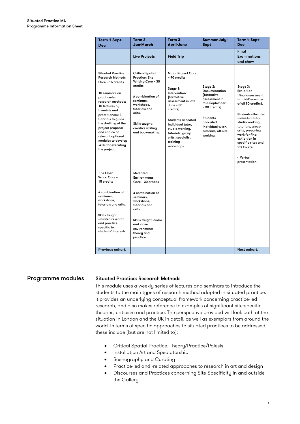| <b>Term 1 Sept-</b><br>Dec                                                                                                                                                                                                                                                                                                                                   | Term <sub>2</sub><br><b>Jan-March</b>                                                                                                                                                                                | Term <sub>3</sub><br><b>April-June</b>                                                                                                                                                                                                                                      | <b>Summer July-</b><br>Sept                                                                                                                                                                       | Term 4 Sept-<br>Dec                                                                                                                                                                                                                                                                                    |
|--------------------------------------------------------------------------------------------------------------------------------------------------------------------------------------------------------------------------------------------------------------------------------------------------------------------------------------------------------------|----------------------------------------------------------------------------------------------------------------------------------------------------------------------------------------------------------------------|-----------------------------------------------------------------------------------------------------------------------------------------------------------------------------------------------------------------------------------------------------------------------------|---------------------------------------------------------------------------------------------------------------------------------------------------------------------------------------------------|--------------------------------------------------------------------------------------------------------------------------------------------------------------------------------------------------------------------------------------------------------------------------------------------------------|
|                                                                                                                                                                                                                                                                                                                                                              | Live Projects                                                                                                                                                                                                        | <b>Field Trip</b>                                                                                                                                                                                                                                                           |                                                                                                                                                                                                   | Final<br><b>Examinations</b><br>and show                                                                                                                                                                                                                                                               |
| <b>Situated Practice:</b><br><b>Research Methods</b><br>Core - 15 credits<br>10 seminars on<br>practice-led<br>research methods;<br>10 lectures bu<br>theorists and<br>practitioners; 2<br>tutorials to guide<br>the drafting of the<br>project proposal<br>and choice of<br>relevant optional<br>modules to develop<br>skills for executing<br>the project. | <b>Critical Spatial</b><br><b>Practice: Site</b><br>Writing Core - 30<br>credits<br>A combination of<br>seminars.<br>workshops,<br>tutorials and<br>crits.<br>Skills taught:<br>creative writing<br>and book-making. | <b>Major Project Core</b><br>- 90 credits<br>Stage 1:<br>Intervention<br>fformative<br>assessment in late<br>June - 30<br>credits).<br><b>Students allocated</b><br>individual tutor.<br>studio working,<br>tutorials, group<br>crits, specialist<br>training<br>workshops. | Stage 2:<br><b>Documentation</b><br><b>fformative</b><br>assessment in<br>mid-September<br>- 30 credits).<br><b>Students</b><br>allocated<br>individual tutor.<br>tutorials, off-site<br>working. | Stage 3:<br>Exhibition<br>ffinal assessment<br>in mid-December<br>of all 90 credits).<br><b>Students allocated</b><br>individual tutor.<br>studio working,<br>tutorials, group<br>crits, preparing<br>work for final<br>exhibition in<br>specific sites and<br>the studio.<br>- Verbal<br>presentation |
| The Open<br>Work: Core -<br>15 credits                                                                                                                                                                                                                                                                                                                       | Mediated<br><b>Environments:</b><br>Core - 30 credits                                                                                                                                                                |                                                                                                                                                                                                                                                                             |                                                                                                                                                                                                   |                                                                                                                                                                                                                                                                                                        |
| A combination of<br>seminars,<br>workshops,<br>tutorials and crits.<br>Skills taught:                                                                                                                                                                                                                                                                        | A combination of<br>seminars,<br>workshops,<br>tutorials and<br>crits.                                                                                                                                               |                                                                                                                                                                                                                                                                             |                                                                                                                                                                                                   |                                                                                                                                                                                                                                                                                                        |
| situated research<br>and practice<br>specific to<br>students' interests.                                                                                                                                                                                                                                                                                     | Skills taught: audio<br>and video<br>environments -<br>theory and<br>practice.                                                                                                                                       |                                                                                                                                                                                                                                                                             |                                                                                                                                                                                                   |                                                                                                                                                                                                                                                                                                        |
| Previous cohort.                                                                                                                                                                                                                                                                                                                                             |                                                                                                                                                                                                                      |                                                                                                                                                                                                                                                                             |                                                                                                                                                                                                   | Next cohort.                                                                                                                                                                                                                                                                                           |

# Programme modules Situated Practice: Research Methods

This module uses a weekly series of lectures and seminars to introduce the students to the main types of research method adopted in situated practice. It provides an underlying conceptual framework concerning practice-led research, and also makes reference to examples of significant site-specific theories, criticism and practice. The perspective provided will look both at the situation in London and the UK in detail, as well as exemplars from around the world. In terms of specific approaches to situated practices to be addressed, these include (but are not limited to):

- Critical Spatial Practice, Theory/Practice/Poiesis
- Installation Art and Spectatorship
- Scenography and Curating
- Practice-led and -related approaches to research in art and design
- Discourses and Practices concerning Site-Specificity in and outside the Gallery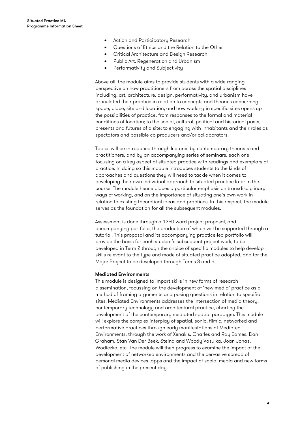- Action and Participatory Research
- Questions of Ethics and the Relation to the Other
- Critical Architecture and Design Research
- Public Art, Regeneration and Urbanism
- Performativity and Subjectivity

Above all, the module aims to provide students with a wide-ranging perspective on how practitioners from across the spatial disciplines including, art, architecture, design, performativity, and urbanism have articulated their practice in relation to concepts and theories concerning space, place, site and location; and how working in specific sites opens up the possibilities of practice, from responses to the formal and material conditions of location; to the social, cultural, political and historical pasts, presents and futures of a site; to engaging with inhabitants and their roles as spectators and possible co-producers and/or collaborators.

Topics will be introduced through lectures by contemporary theorists and practitioners, and by an accompanying series of seminars, each one focusing on a key aspect of situated practice with readings and exemplars of practice. In doing so this module introduces students to the kinds of approaches and questions they will need to tackle when it comes to developing their own individual approach to situated practice later in the course. The module hence places a particular emphasis on transdisciplinary ways of working, and on the importance of situating one's own work in relation to existing theoretical ideas and practices. In this respect, the module serves as the foundation for all the subsequent modules.

Assessment is done through a 1250-word project proposal, and accompanying portfolio, the production of which will be supported through a tutorial. This proposal and its accompanying practice-led portfolio will provide the basis for each student's subsequent project work, to be developed in Term 2 through the choice of specific modules to help develop skills relevant to the type and mode of situated practice adopted, and for the Major Project to be developed through Terms 3 and 4.

### Mediated Environments

This module is designed to impart skills in new forms of research dissemination, focussing on the development of 'new media' practice as a method of framing arguments and posing questions in relation to specific sites. Mediated Environments addresses the intersection of media theory, contemporary technology and architectural practice, charting the development of the contemporary mediated spatial paradigm. This module will explore the complex interplay of spatial, sonic, filmic, networked and performative practices through early manifestations of Mediated Environments, through the work of Xenakis, Charles and Ray Eames, Dan Graham, Stan Van Der Beek, Steina and Woody Vasulka, Joan Jonas, Wodiczko, etc. The module will then progress to examine the impact of the development of networked environments and the pervasive spread of personal media devices, apps and the impact of social media and new forms of publishing in the present day.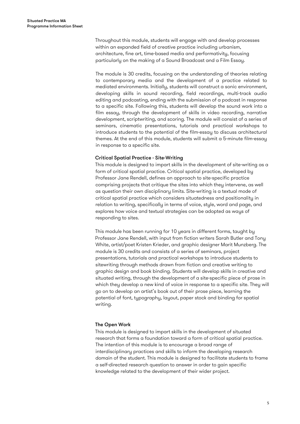Throughout this module, students will engage with and develop processes within an expanded field of creative practice including urbanism, architecture, fine art, time-based media and performativity, focusing particularly on the making of a Sound Broadcast and a Film Essay.

The module is 30 credits, focusing on the understanding of theories relating to contemporary media and the development of a practice related to mediated environments. Initially, students will construct a sonic environment, developing skills in sound recording, field recordings, multi-track audio editing and podcasting, ending with the submission of a podcast in response to a specific site. Following this, students will develop the sound work into a film essay, through the development of skills in video recording, narrative development, scriptwriting, and scoring. The module will consist of a series of seminars, cinematic presentations, tutorials and practical workshops to introduce students to the potential of the film-essay to discuss architectural themes. At the end of this module, students will submit a 5-minute film-essay in response to a specific site.

# Critical Spatial Practice - Site-Writing

This module is designed to impart skills in the development of site-writing as a form of critical spatial practice. Critical spatial practice, developed by Professor Jane Rendell, defines an approach to site-specific practice comprising projects that critique the sites into which they intervene, as well as question their own disciplinary limits. Site-writing is a textual mode of critical spatial practice which considers situatedness and positionality in relation to writing, specifically in terms of voice, style, word and page, and explores how voice and textual strategies can be adopted as ways of responding to sites.

This module has been running for 10 years in different forms, taught by Professor Jane Rendell, with input from fiction writers Sarah Butler and Tony White, artist/poet Kristen Krieder, and graphic designer Marit Munzberg. The module is 30 credits and consists of a series of seminars, project presentations, tutorials and practical workshops to introduce students to sitewriting through methods drawn from fiction and creative writing to graphic design and book binding. Students will develop skills in creative and situated writing, through the development of a site-specific piece of prose in which they develop a new kind of voice in response to a specific site. They will go on to develop an artist's book out of their prose piece, learning the potential of font, typography, layout, paper stock and binding for spatial writing.

### The Open Work

This module is designed to impart skills in the development of situated research that forms a foundation toward a form of critical spatial practice. The intention of this module is to encourage a broad range of interdisciplinary practices and skills to inform the developing research domain of the student. This module is designed to facilitate students to frame a self-directed research question to answer in order to gain specific knowledge related to the development of their wider project.